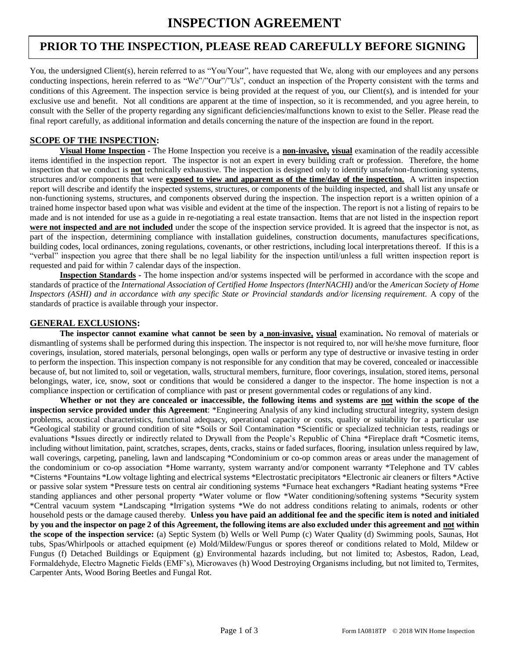# **PRIOR TO THE INSPECTION, PLEASE READ CAREFULLY BEFORE SIGNING**

 You, the undersigned Client(s), herein referred to as "You/Your", have requested that We, along with our employees and any persons conducting inspections, herein referred to as "We"/"Our"/"Us", conduct an inspection of the Property consistent with the terms and conditions of this Agreement. The inspection service is being provided at the request of you, our Client(s), and is intended for your exclusive use and benefit. Not all conditions are apparent at the time of inspection, so it is recommended, and you agree herein, to consult with the Seller of the property regarding any significant deficiencies/malfunctions known to exist to the Seller. Please read the final report carefully, as additional information and details concerning the nature of the inspection are found in the report.

### **SCOPE OF THE INSPECTION:**

**Visual Home Inspection -** The Home Inspection you receive is a **non-invasive, visual** examination of the readily accessible items identified in the inspection report. The inspector is not an expert in every building craft or profession. Therefore, the home inspection that we conduct is **not** technically exhaustive. The inspection is designed only to identify unsafe/non-functioning systems, structures and/or components that were **exposed to view and apparent as of the time/day of the inspection.** A written inspection report will describe and identify the inspected systems, structures, or components of the building inspected, and shall list any unsafe or non-functioning systems, structures, and components observed during the inspection. The inspection report is a written opinion of a trained home inspector based upon what was visible and evident at the time of the inspection. The report is not a listing of repairs to be made and is not intended for use as a guide in re-negotiating a real estate transaction. Items that are not listed in the inspection report **were not inspected and are not included** under the scope of the inspection service provided. It is agreed that the inspector is not, as part of the inspection, determining compliance with installation guidelines, construction documents, manufactures specifications, building codes, local ordinances, zoning regulations, covenants, or other restrictions, including local interpretations thereof. If this is a "verbal" inspection you agree that there shall be no legal liability for the inspection until/unless a full written inspection report is requested and paid for within 7 calendar days of the inspection.

**Inspection Standards -** The home inspection and/or systems inspected will be performed in accordance with the scope and standards of practice of the *International Association of Certified Home Inspectors (InterNACHI)* and/or the *American Society of Home Inspectors (ASHI) and in accordance with any specific State or Provincial standards and/or licensing requirement.* A copy of the standards of practice is available through your inspector.

### **GENERAL EXCLUSIONS:**

**The inspector cannot examine what cannot be seen by a non-invasive, visual** examination**.** No removal of materials or dismantling of systems shall be performed during this inspection. The inspector is not required to, nor will he/she move furniture, floor coverings, insulation, stored materials, personal belongings, open walls or perform any type of destructive or invasive testing in order to perform the inspection. This inspection company is not responsible for any condition that may be covered, concealed or inaccessible because of, but not limited to, soil or vegetation, walls, structural members, furniture, floor coverings, insulation, stored items, personal belongings, water, ice, snow, soot or conditions that would be considered a danger to the inspector. The home inspection is not a compliance inspection or certification of compliance with past or present governmental codes or regulations of any kind.

**Whether or not they are concealed or inaccessible, the following items and systems are not within the scope of the inspection service provided under this Agreement**: \*Engineering Analysis of any kind including structural integrity, system design problems, acoustical characteristics, functional adequacy, operational capacity or costs, quality or suitability for a particular use \*Geological stability or ground condition of site \*Soils or Soil Contamination \*Scientific or specialized technician tests, readings or evaluations \*Issues directly or indirectly related to Drywall from the People's Republic of China \*Fireplace draft \*Cosmetic items, including without limitation, paint, scratches, scrapes, dents, cracks, stains or faded surfaces, flooring, insulation unless required by law, wall coverings, carpeting, paneling, lawn and landscaping \*Condominium or co-op common areas or areas under the management of the condominium or co-op association \*Home warranty, system warranty and/or component warranty \*Telephone and TV cables \*Cisterns \*Fountains \*Low voltage lighting and electrical systems \*Electrostatic precipitators \*Electronic air cleaners or filters \*Active or passive solar system \*Pressure tests on central air conditioning systems \*Furnace heat exchangers \*Radiant heating systems \*Free standing appliances and other personal property \*Water volume or flow \*Water conditioning/softening systems \*Security system \*Central vacuum system \*Landscaping \*Irrigation systems \*We do not address conditions relating to animals, rodents or other household pests or the damage caused thereby. **Unless you have paid an additional fee and the specific item is noted and initialed by you and the inspector on page 2 of this Agreement, the following items are also excluded under this agreement and not within the scope of the inspection service:** (a) Septic System (b) Wells or Well Pump (c) Water Quality (d) Swimming pools, Saunas, Hot tubs, Spas/Whirlpools or attached equipment (e) Mold/Mildew/Fungus or spores thereof or conditions related to Mold, Mildew or Fungus (f) Detached Buildings or Equipment (g) Environmental hazards including, but not limited to; Asbestos, Radon, Lead, Formaldehyde, Electro Magnetic Fields (EMF's), Microwaves (h) Wood Destroying Organisms including, but not limited to, Termites, Carpenter Ants, Wood Boring Beetles and Fungal Rot.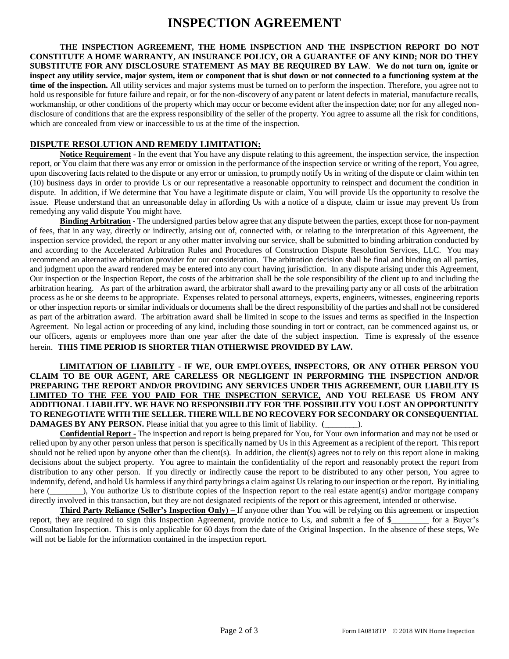# **INSPECTION AGREEMENT**

**THE INSPECTION AGREEMENT, THE HOME INSPECTION AND THE INSPECTION REPORT DO NOT CONSTITUTE A HOME WARRANTY, AN INSURANCE POLICY, OR A GUARANTEE OF ANY KIND; NOR DO THEY SUBSTITUTE FOR ANY DISCLOSURE STATEMENT AS MAY BE REQUIRED BY LAW**. **We do not turn on, ignite or inspect any utility service, major system, item or component that is shut down or not connected to a functioning system at the time of the inspection.** All utility services and major systems must be turned on to perform the inspection. Therefore, you agree not to hold us responsible for future failure and repair, or for the non-discovery of any patent or latent defects in material, manufacture recalls, workmanship, or other conditions of the property which may occur or become evident after the inspection date; nor for any alleged nondisclosure of conditions that are the express responsibility of the seller of the property. You agree to assume all the risk for conditions, which are concealed from view or inaccessible to us at the time of the inspection.

## **DISPUTE RESOLUTION AND REMEDY LIMITATION:**

**Notice Requirement** - In the event that You have any dispute relating to this agreement, the inspection service, the inspection report, or You claim that there was any error or omission in the performance of the inspection service or writing of the report, You agree, upon discovering facts related to the dispute or any error or omission, to promptly notify Us in writing of the dispute or claim within ten (10) business days in order to provide Us or our representative a reasonable opportunity to reinspect and document the condition in dispute. In addition, if We determine that You have a legitimate dispute or claim, You will provide Us the opportunity to resolve the issue. Please understand that an unreasonable delay in affording Us with a notice of a dispute, claim or issue may prevent Us from remedying any valid dispute You might have.

**Binding Arbitration** - The undersigned parties below agree that any dispute between the parties, except those for non-payment of fees, that in any way, directly or indirectly, arising out of, connected with, or relating to the interpretation of this Agreement, the inspection service provided, the report or any other matter involving our service, shall be submitted to binding arbitration conducted by and according to the Accelerated Arbitration Rules and Procedures of Construction Dispute Resolution Services, LLC. You may recommend an alternative arbitration provider for our consideration. The arbitration decision shall be final and binding on all parties, and judgment upon the award rendered may be entered into any court having jurisdiction. In any dispute arising under this Agreement, Our inspection or the Inspection Report, the costs of the arbitration shall be the sole responsibility of the client up to and including the arbitration hearing. As part of the arbitration award, the arbitrator shall award to the prevailing party any or all costs of the arbitration process as he or she deems to be appropriate. Expenses related to personal attorneys, experts, engineers, witnesses, engineering reports or other inspection reports or similar individuals or documents shall be the direct responsibility of the parties and shall not be considered as part of the arbitration award. The arbitration award shall be limited in scope to the issues and terms as specified in the Inspection Agreement. No legal action or proceeding of any kind, including those sounding in tort or contract, can be commenced against us, or our officers, agents or employees more than one year after the date of the subject inspection. Time is expressly of the essence herein. **THIS TIME PERIOD IS SHORTER THAN OTHERWISE PROVIDED BY LAW.**

#### **LIMITATION OF LIABILITY - IF WE, OUR EMPLOYEES, INSPECTORS, OR ANY OTHER PERSON YOU CLAIM TO BE OUR AGENT, ARE CARELESS OR NEGLIGENT IN PERFORMING THE INSPECTION AND/OR PREPARING THE REPORT AND/OR PROVIDING ANY SERVICES UNDER THIS AGREEMENT, OUR LIABILITY IS LIMITED TO THE FEE YOU PAID FOR THE INSPECTION SERVICE, AND YOU RELEASE US FROM ANY ADDITIONAL LIABILITY. WE HAVE NO RESPONSIBILITY FOR THE POSSIBILITY YOU LOST AN OPPORTUNITY TO RENEGOTIATE WITH THE SELLER. THERE WILL BE NO RECOVERY FOR SECONDARY OR CONSEQUENTIAL DAMAGES BY ANY PERSON.** Please initial that you agree to this limit of liability. (\_\_\_\_\_\_\_\_).

**Confidential Report -** The inspection and report is being prepared for You, for Your own information and may not be used or relied upon by any other person unless that person is specifically named by Us in this Agreement as a recipient of the report. This report should not be relied upon by anyone other than the client(s). In addition, the client(s) agrees not to rely on this report alone in making decisions about the subject property. You agree to maintain the confidentiality of the report and reasonably protect the report from distribution to any other person. If you directly or indirectly cause the report to be distributed to any other person, You agree to indemnify, defend, and hold Us harmless if any third party brings a claim against Us relating to our inspection or the report. By initialing here (). You authorize Us to distribute copies of the Inspection report to the real estate agent(s) and/or mortgage company directly involved in this transaction, but they are not designated recipients of the report or this agreement, intended or otherwise.

**Third Party Reliance (Seller's Inspection Only) –** If anyone other than You will be relying on this agreement or inspection report, they are required to sign this Inspection Agreement, provide notice to Us, and submit a fee of \$\_\_\_\_\_\_\_\_\_ for a Buyer's Consultation Inspection. This is only applicable for 60 days from the date of the Original Inspection. In the absence of these steps, We will not be liable for the information contained in the inspection report.